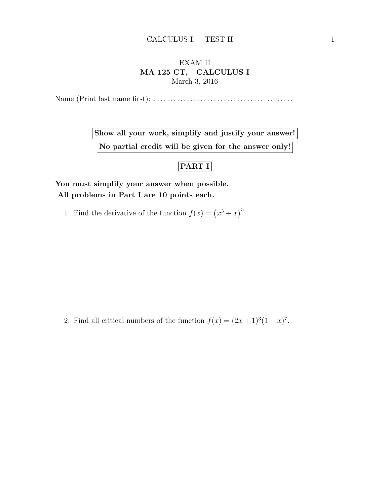## EXAM II MA 125 CT, CALCULUS I March 3, 2016

Name (Print last name first): . . . . . . . . . . . . . . . . . . . . . . . . . . . . . . . . . . . . . . . . . .

Show all your work, simplify and justify your answer! No partial credit will be given for the answer only!

## PART I

You must simplify your answer when possible. All problems in Part I are 10 points each.

1. Find the derivative of the function  $f(x) = (x^3 + x)^5$ .

2. Find all critical numbers of the function  $f(x) = (2x+1)^3(1-x)^7$ .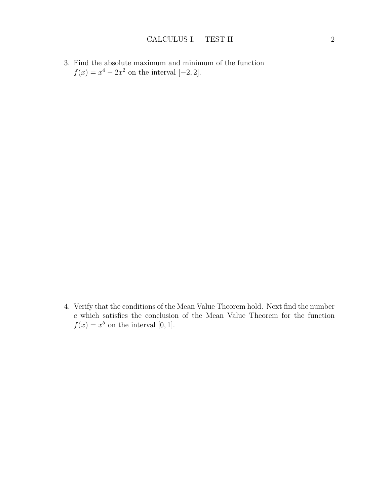3. Find the absolute maximum and minimum of the function  $f(x) = x^4 - 2x^2$  on the interval [-2, 2].

4. Verify that the conditions of the Mean Value Theorem hold. Next find the number  $\boldsymbol{c}$  which satisfies the conclusion of the Mean Value Theorem for the function  $f(x) = x^5$  on the interval [0, 1].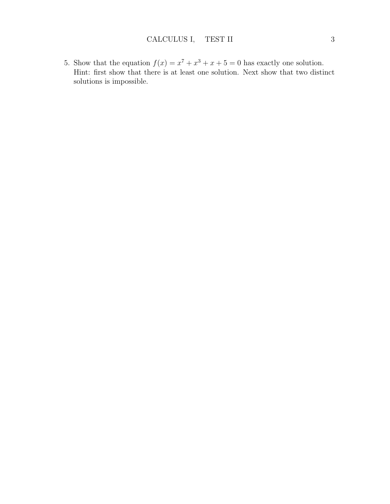5. Show that the equation  $f(x) = x^7 + x^3 + x + 5 = 0$  has exactly one solution. Hint: first show that there is at least one solution. Next show that two distinct solutions is impossible.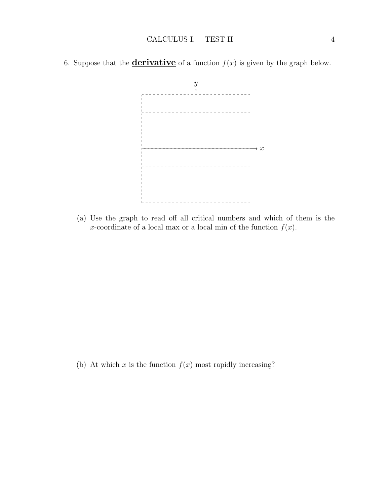6. Suppose that the **derivative** of a function  $f(x)$  is given by the graph below.



(a) Use the graph to read off all critical numbers and which of them is the x-coordinate of a local max or a local min of the function  $f(x)$ .

(b) At which x is the function  $f(x)$  most rapidly increasing?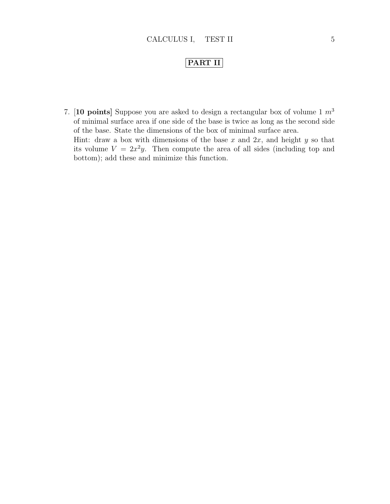## PART II

7. [10 points] Suppose you are asked to design a rectangular box of volume 1  $m^3$ of minimal surface area if one side of the base is twice as long as the second side of the base. State the dimensions of the box of minimal surface area. Hint: draw a box with dimensions of the base  $x$  and  $2x$ , and height  $y$  so that its volume  $V = 2x^2y$ . Then compute the area of all sides (including top and bottom); add these and minimize this function.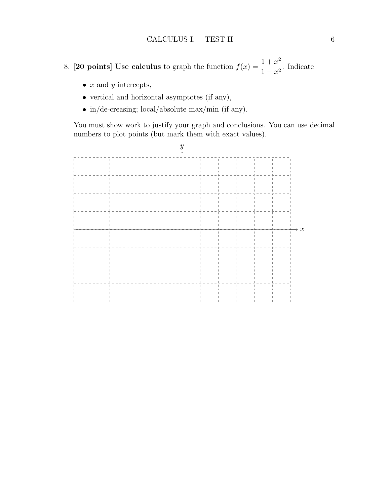- 8. **[20 points]** Use calculus to graph the function  $f(x) = \frac{1+x^2}{1-x^2}$  $\frac{1+x}{1-x^2}$ . Indicate
	- $x$  and  $y$  intercepts,
	- vertical and horizontal asymptotes (if any),
	- in/de-creasing; local/absolute max/min (if any).

You must show work to justify your graph and conclusions. You can use decimal numbers to plot points (but mark them with exact values).